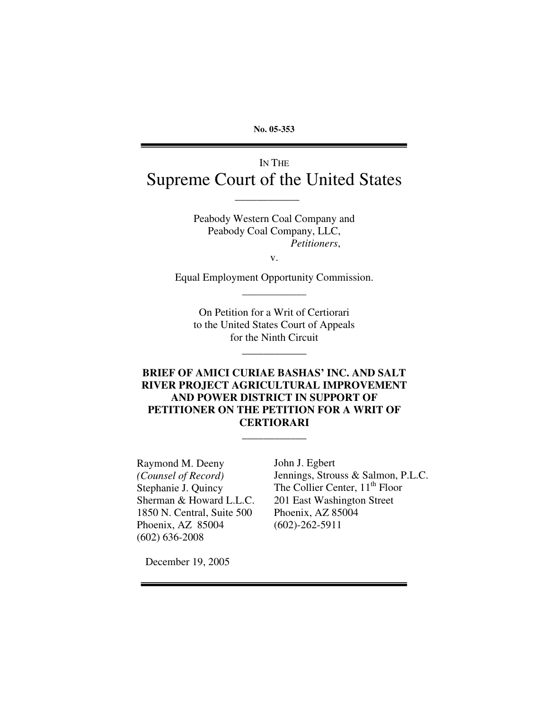**No. 05-353**

# IN THE Supreme Court of the United States

\_\_\_\_\_\_\_\_\_\_\_\_

Peabody Western Coal Company and Peabody Coal Company, LLC, *Petitioners*,

v.

Equal Employment Opportunity Commission. \_\_\_\_\_\_\_\_\_\_\_\_\_

On Petition for a Writ of Certiorari to the United States Court of Appeals for the Ninth Circuit

\_\_\_\_\_\_\_\_\_\_\_\_

## **BRIEF OF AMICI CURIAE BASHAS' INC. AND SALT RIVER PROJECT AGRICULTURAL IMPROVEMENT AND POWER DISTRICT IN SUPPORT OF PETITIONER ON THE PETITION FOR A WRIT OF CERTIORARI** \_\_\_\_\_\_\_\_\_\_\_\_

Raymond M. Deeny *(Counsel of Record)* Stephanie J. Quincy Sherman & Howard L.L.C. 1850 N. Central, Suite 500 Phoenix, AZ 85004 (602) 636-2008

John J. Egbert Jennings, Strouss & Salmon, P.L.C. The Collier Center, 11<sup>th</sup> Floor 201 East Washington Street Phoenix, AZ 85004 (602)-262-5911

December 19, 2005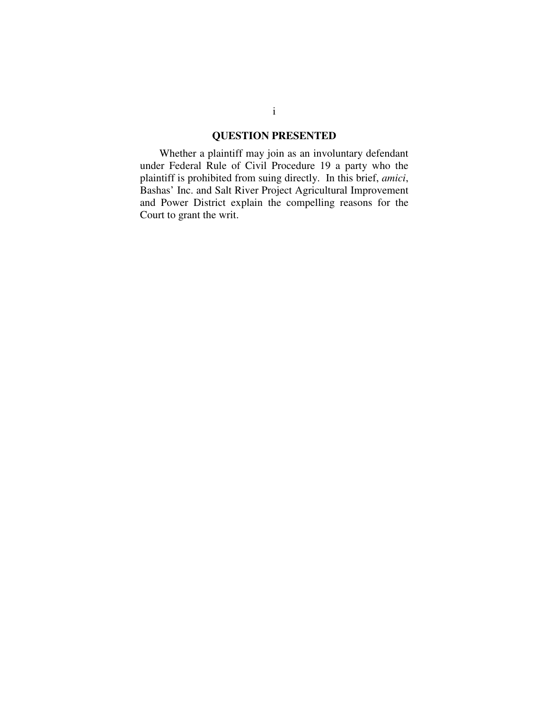## **QUESTION PRESENTED**

Whether a plaintiff may join as an involuntary defendant under Federal Rule of Civil Procedure 19 a party who the plaintiff is prohibited from suing directly. In this brief, *amici*, Bashas' Inc. and Salt River Project Agricultural Improvement and Power District explain the compelling reasons for the Court to grant the writ.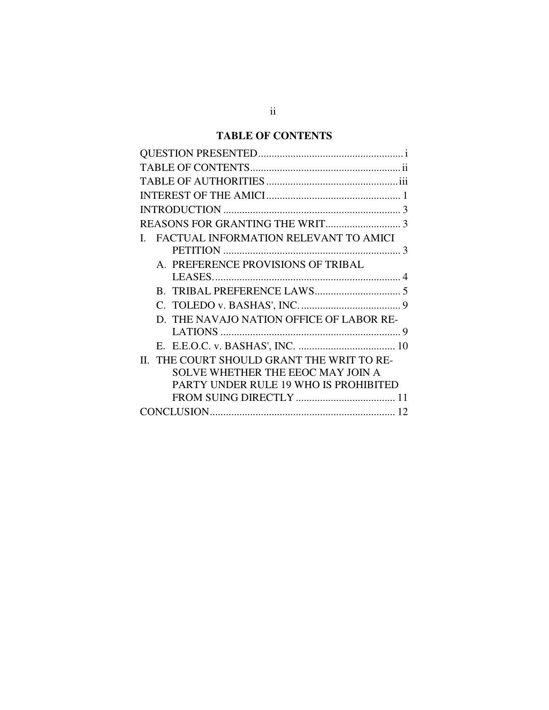## **TABLE OF CONTENTS**

| 3                                                     |
|-------------------------------------------------------|
|                                                       |
| FACTUAL INFORMATION RELEVANT TO AMICI<br>$\mathbf{L}$ |
|                                                       |
| A. PREFERENCE PROVISIONS OF TRIBAL                    |
|                                                       |
|                                                       |
|                                                       |
| D. THE NAVAJO NATION OFFICE OF LABOR RE-              |
| 9                                                     |
|                                                       |
| II. THE COURT SHOULD GRANT THE WRIT TO RE-            |
| SOLVE WHETHER THE EEOC MAY JOIN A                     |
| PARTY UNDER RULE 19 WHO IS PROHIBITED                 |
|                                                       |
|                                                       |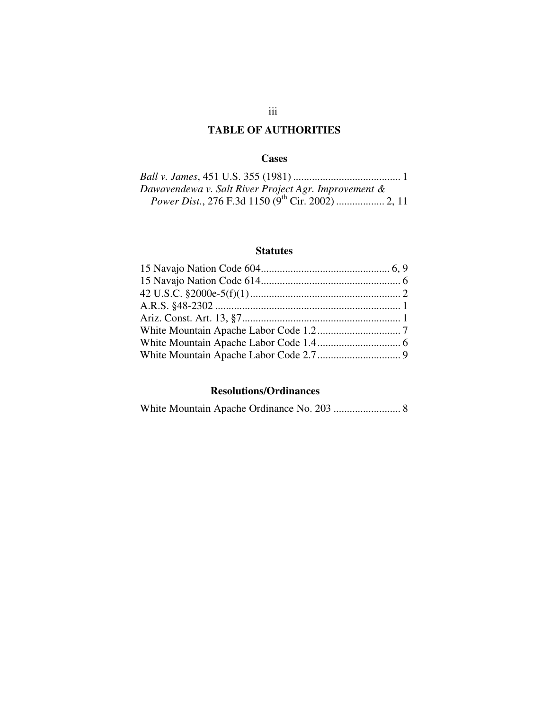## **TABLE OF AUTHORITIES**

### **Cases**

| Dawavendewa v. Salt River Project Agr. Improvement & |
|------------------------------------------------------|
|                                                      |

## **Statutes**

## **Resolutions/Ordinances**

|--|--|--|--|--|--|--|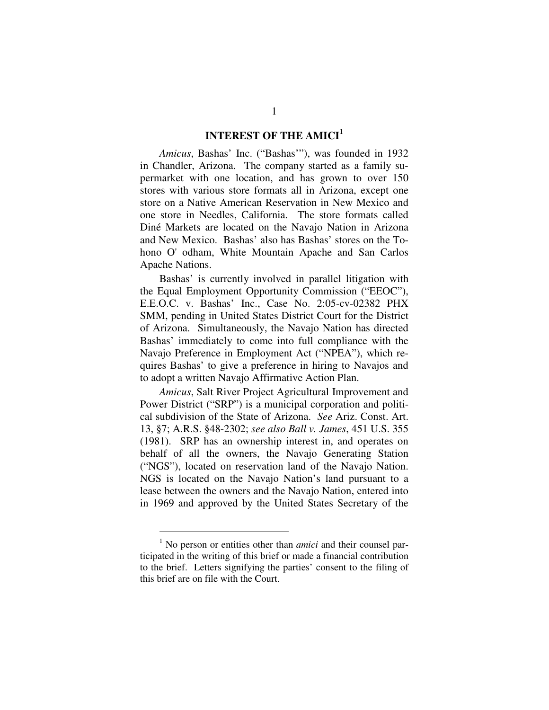## **INTEREST OF THE AMICI 1**

*Amicus*, Bashas' Inc. ("Bashas'"), was founded in 1932 in Chandler, Arizona. The company started as a family supermarket with one location, and has grown to over 150 stores with various store formats all in Arizona, except one store on a Native American Reservation in New Mexico and one store in Needles, California. The store formats called Diné Markets are located on the Navajo Nation in Arizona and New Mexico. Bashas' also has Bashas' stores on the Tohono O'odham, White Mountain Apache and San Carlos Apache Nations.

Bashas' is currently involved in parallel litigation with the Equal Employment Opportunity Commission ("EEOC"), E.E.O.C. v. Bashas' Inc., Case No. 2:05-cv-02382 PHX SMM, pending in United States District Court for the District of Arizona. Simultaneously, the Navajo Nation has directed Bashas' immediately to come into full compliance with the Navajo Preference in Employment Act ("NPEA"), which requires Bashas' to give a preference in hiring to Navajos and to adopt a written Navajo Affirmative Action Plan.

*Amicus*, Salt River Project Agricultural Improvement and Power District ("SRP") is a municipal corporation and political subdivision of the State of Arizona. *See* Ariz. Const. Art. 13, §7; A.R.S. §48-2302; *see also Ball v. James*, 451 U.S. 355 (1981). SRP has an ownership interest in, and operates on behalf of all the owners, the Navajo Generating Station ("NGS"), located on reservation land of the Navajo Nation. NGS is located on the Navajo Nation's land pursuant to a lease between the owners and the Navajo Nation, entered into in 1969 and approved by the United States Secretary of the

<sup>1</sup> No person or entities other than *amici* and their counsel participated in the writing of this brief or made a financial contribution to the brief. Letters signifying the parties' consent to the filing of this brief are on file with the Court.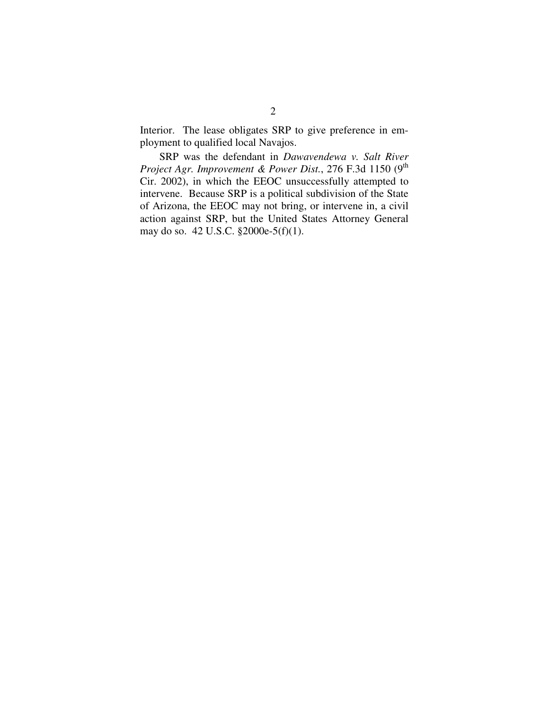Interior. The lease obligates SRP to give preference in employment to qualified local Navajos.

SRP was the defendant in *Dawavendewa v. Salt River Project Agr. Improvement & Power Dist.*, 276 F.3d 1150 (9 th Cir. 2002), in which the EEOC unsuccessfully attempted to intervene. Because SRP is a political subdivision of the State of Arizona, the EEOC may not bring, or intervene in, a civil action against SRP, but the United States Attorney General may do so. 42 U.S.C. §2000e-5(f)(1).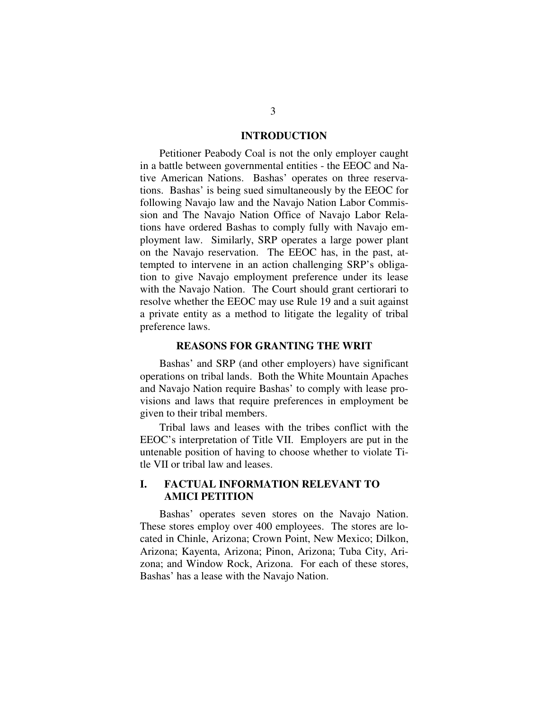#### **INTRODUCTION**

Petitioner Peabody Coal is not the only employer caught in a battle between governmental entities - the EEOC and Native American Nations. Bashas' operates on three reservations. Bashas' is being sued simultaneously by the EEOC for following Navajo law and the Navajo Nation Labor Commission and The Navajo Nation Office of Navajo Labor Relations have ordered Bashas to comply fully with Navajo employment law. Similarly, SRP operates a large power plant on the Navajo reservation. The EEOC has, in the past, attempted to intervene in an action challenging SRP's obligation to give Navajo employment preference under its lease with the Navajo Nation. The Court should grant certiorari to resolve whether the EEOC may use Rule 19 and a suit against a private entity as a method to litigate the legality of tribal preference laws.

#### **REASONS FOR GRANTING THE WRIT**

Bashas' and SRP (and other employers) have significant operations on tribal lands. Both the White Mountain Apaches and Navajo Nation require Bashas' to comply with lease provisions and laws that require preferences in employment be given to their tribal members.

Tribal laws and leases with the tribes conflict with the EEOC's interpretation of Title VII. Employers are put in the untenable position of having to choose whether to violate Title VII or tribal law and leases.

## **I. FACTUAL INFORMATION RELEVANT TO AMICI PETITION**

Bashas' operates seven stores on the Navajo Nation. These stores employ over 400 employees. The stores are located in Chinle, Arizona; Crown Point, New Mexico; Dilkon, Arizona; Kayenta, Arizona; Pinon, Arizona; Tuba City, Arizona; and Window Rock, Arizona. For each of these stores, Bashas' has a lease with the Navajo Nation.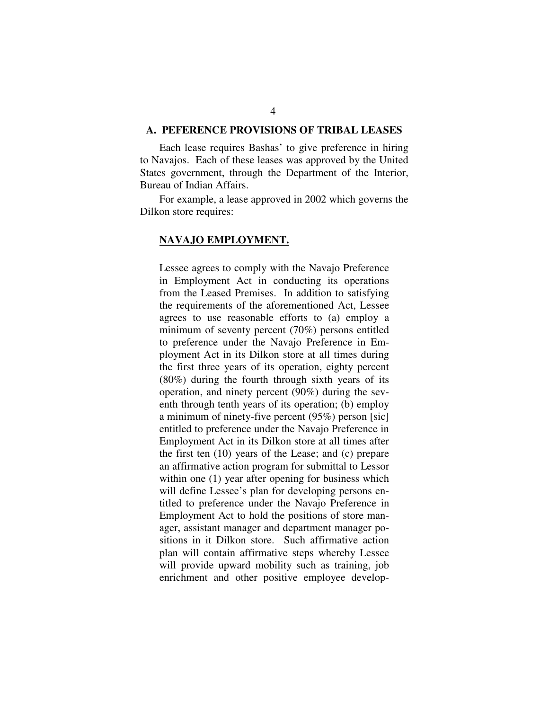#### **A. PEFERENCE PROVISIONS OF TRIBAL LEASES**

Each lease requires Bashas' to give preference in hiring to Navajos. Each of these leases was approved by the United States government, through the Department of the Interior, Bureau of Indian Affairs.

For example, a lease approved in 2002 which governs the Dilkon store requires:

#### **NAVAJO EMPLOYMENT.**

Lessee agrees to comply with the Navajo Preference in Employment Act in conducting its operations from the Leased Premises. In addition to satisfying the requirements of the aforementioned Act, Lessee agrees to use reasonable efforts to (a) employ a minimum of seventy percent (70%) persons entitled to preference under the Navajo Preference in Employment Act in its Dilkon store at all times during the first three years of its operation, eighty percent (80%) during the fourth through sixth years of its operation, and ninety percent (90%) during the seventh through tenth years of its operation; (b) employ a minimum of ninety-five percent (95%) person [sic] entitled to preference under the Navajo Preference in Employment Act in its Dilkon store at all times after the first ten (10) years of the Lease; and (c) prepare an affirmative action program for submittal to Lessor within one (1) year after opening for business which will define Lessee's plan for developing persons entitled to preference under the Navajo Preference in Employment Act to hold the positions of store manager, assistant manager and department manager positions in it Dilkon store. Such affirmative action plan will contain affirmative steps whereby Lessee will provide upward mobility such as training, job enrichment and other positive employee develop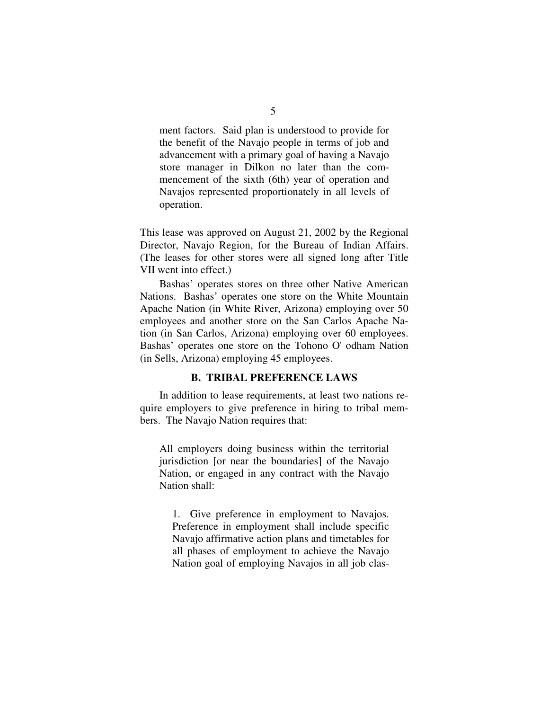ment factors. Said plan is understood to provide for the benefit of the Navajo people in terms of job and advancement with a primary goal of having a Navajo store manager in Dilkon no later than the commencement of the sixth (6th) year of operation and Navajos represented proportionately in all levels of operation.

This lease was approved on August 21, 2002 by the Regional Director, Navajo Region, for the Bureau of Indian Affairs. (The leases for other stores were all signed long after Title VII went into effect.)

Bashas' operates stores on three other Native American Nations. Bashas' operates one store on the White Mountain Apache Nation (in White River, Arizona) employing over 50 employees and another store on the San Carlos Apache Nation (in San Carlos, Arizona) employing over 60 employees. Bashas' operates one store on the Tohono O'odham Nation (in Sells, Arizona) employing 45 employees.

#### **B. TRIBAL PREFERENCE LAWS**

In addition to lease requirements, at least two nations require employers to give preference in hiring to tribal members. The Navajo Nation requires that:

All employers doing business within the territorial jurisdiction [or near the boundaries] of the Navajo Nation, or engaged in any contract with the Navajo Nation shall:

1. Give preference in employment to Navajos. Preference in employment shall include specific Navajo affirmative action plans and timetables for all phases of employment to achieve the Navajo Nation goal of employing Navajos in all job clas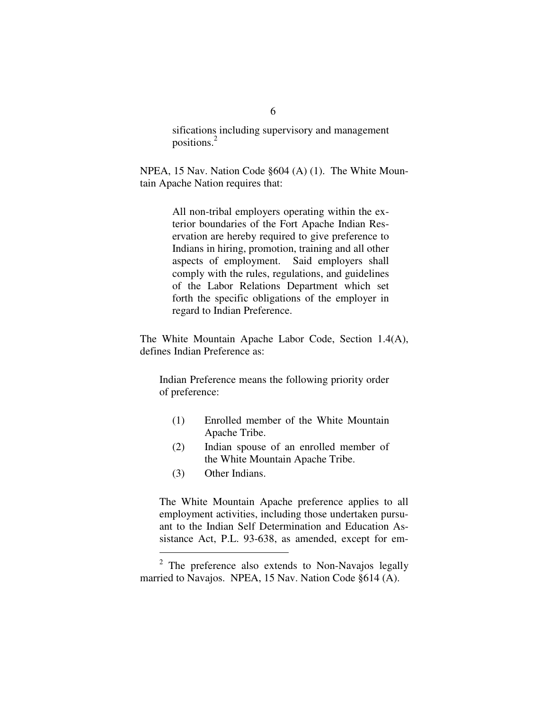sifications including supervisory and management positions. 2

NPEA, 15 Nav. Nation Code §604 (A) (1). The White Mountain Apache Nation requires that:

> All non-tribal employers operating within the exterior boundaries of the Fort Apache Indian Reservation are hereby required to give preference to Indians in hiring, promotion, training and all other aspects of employment. Said employers shall comply with the rules, regulations, and guidelines of the Labor Relations Department which set forth the specific obligations of the employer in regard to Indian Preference.

The White Mountain Apache Labor Code, Section 1.4(A), defines Indian Preference as:

Indian Preference means the following priority order of preference:

- (1) Enrolled member of the White Mountain Apache Tribe.
- (2) Indian spouse of an enrolled member of the White Mountain Apache Tribe.
- (3) Other Indians.

The White Mountain Apache preference applies to all employment activities, including those undertaken pursuant to the Indian Self Determination and Education Assistance Act, P.L. 93-638, as amended, except for em-

 $2$  The preference also extends to Non-Navajos legally married to Navajos. NPEA, 15 Nav. Nation Code §614 (A).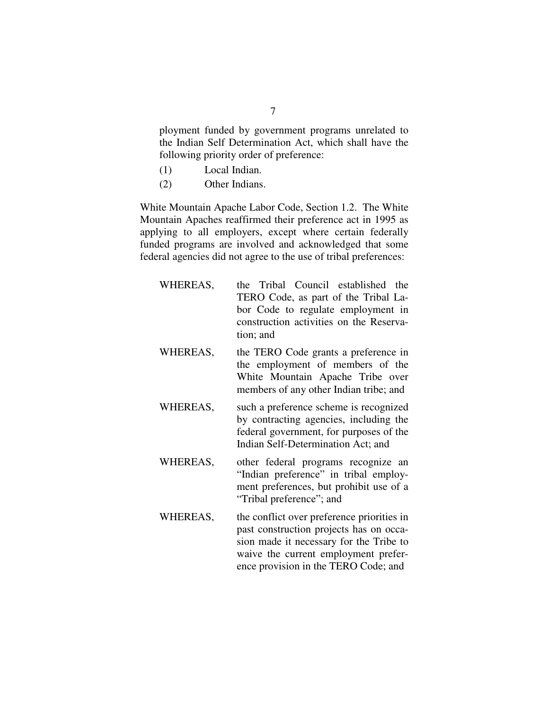ployment funded by government programs unrelated to the Indian Self Determination Act, which shall have the following priority order of preference:

- (1) Local Indian.
- (2) Other Indians.

White Mountain Apache Labor Code, Section 1.2. The White Mountain Apaches reaffirmed their preference act in 1995 as applying to all employers, except where certain federally funded programs are involved and acknowledged that some federal agencies did not agree to the use of tribal preferences:

- WHEREAS, the Tribal Council established the TERO Code, as part of the Tribal Labor Code to regulate employment in construction activities on the Reservation; and
- WHEREAS, the TERO Code grants a preference in the employment of members of the White Mountain Apache Tribe over members of any other Indian tribe; and
- WHEREAS, such a preference scheme is recognized by contracting agencies, including the federal government, for purposes of the Indian Self-Determination Act; and
- WHEREAS, other federal programs recognize an "Indian preference" in tribal employment preferences, but prohibit use of a "Tribal preference"; and
- WHEREAS, the conflict over preference priorities in past construction projects has on occasion made it necessary for the Tribe to waive the current employment preference provision in the TERO Code; and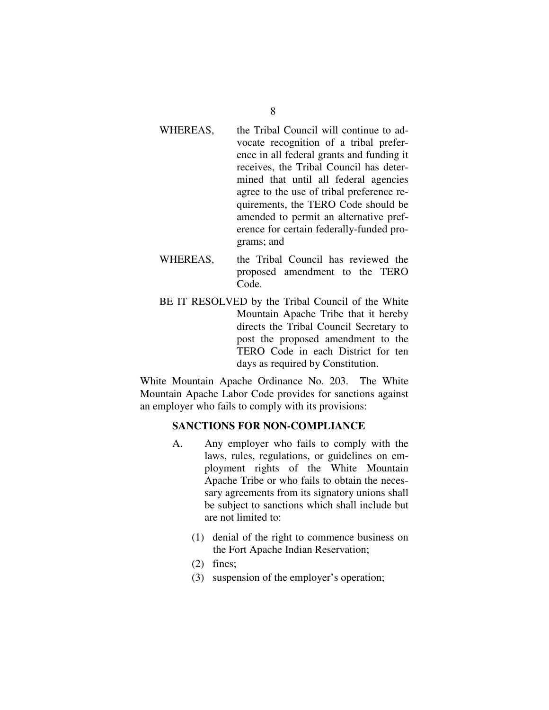- WHEREAS, the Tribal Council will continue to advocate recognition of a tribal preference in all federal grants and funding it receives, the Tribal Council has determined that until all federal agencies agree to the use of tribal preference requirements, the TERO Code should be amended to permit an alternative preference for certain federally-funded programs; and
- WHEREAS, the Tribal Council has reviewed the proposed amendment to the TERO Code.
- BE IT RESOLVED by the Tribal Council of the White Mountain Apache Tribe that it hereby directs the Tribal Council Secretary to post the proposed amendment to the TERO Code in each District for ten days as required by Constitution.

White Mountain Apache Ordinance No. 203. The White Mountain Apache Labor Code provides for sanctions against an employer who fails to comply with its provisions:

### **SANCTIONS FOR NON-COMPLIANCE**

- A. Any employer who fails to comply with the laws, rules, regulations, or guidelines on employment rights of the White Mountain Apache Tribe or who fails to obtain the necessary agreements from its signatory unions shall be subject to sanctions which shall include but are not limited to:
	- (1) denial of the right to commence business on the Fort Apache Indian Reservation;
	- (2) fines;
	- (3) suspension of the employer's operation;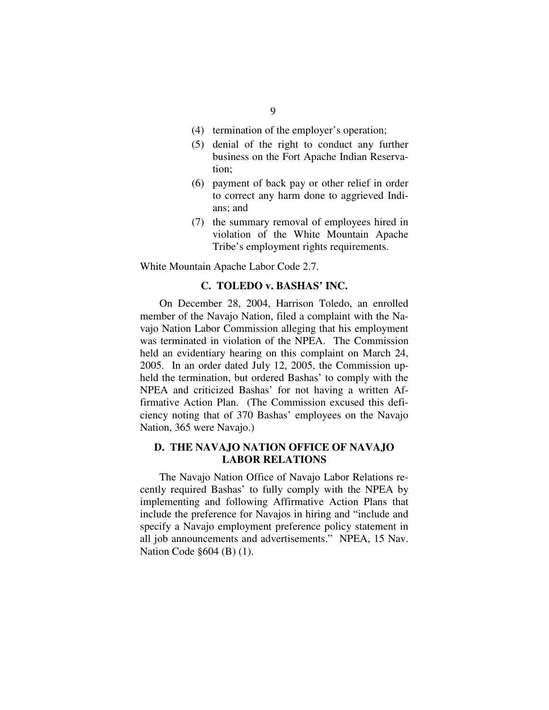- (4) termination of the employer's operation;
- (5) denial of the right to conduct any further business on the Fort Apache Indian Reservation;
- (6) payment of back pay or other relief in order to correct any harm done to aggrieved Indians; and
- (7) the summary removal of employees hired in violation of the White Mountain Apache Tribe's employment rights requirements.

White Mountain Apache Labor Code 2.7.

### **C. TOLEDO v. BASHAS' INC.**

On December 28, 2004, Harrison Toledo, an enrolled member of the Navajo Nation, filed a complaint with the Navajo Nation Labor Commission alleging that his employment was terminated in violation of the NPEA. The Commission held an evidentiary hearing on this complaint on March 24, 2005. In an order dated July 12, 2005, the Commission upheld the termination, but ordered Bashas' to comply with the NPEA and criticized Bashas' for not having a written Affirmative Action Plan. (The Commission excused this deficiency noting that of 370 Bashas' employees on the Navajo Nation, 365 were Navajo.)

### **D. THE NAVAJO NATION OFFICE OF NAVAJO LABOR RELATIONS**

The Navajo Nation Office of Navajo Labor Relations recently required Bashas' to fully comply with the NPEA by implementing and following Affirmative Action Plans that include the preference for Navajos in hiring and "include and specify a Navajo employment preference policy statement in all job announcements and advertisements." NPEA, 15 Nav. Nation Code §604 (B) (1).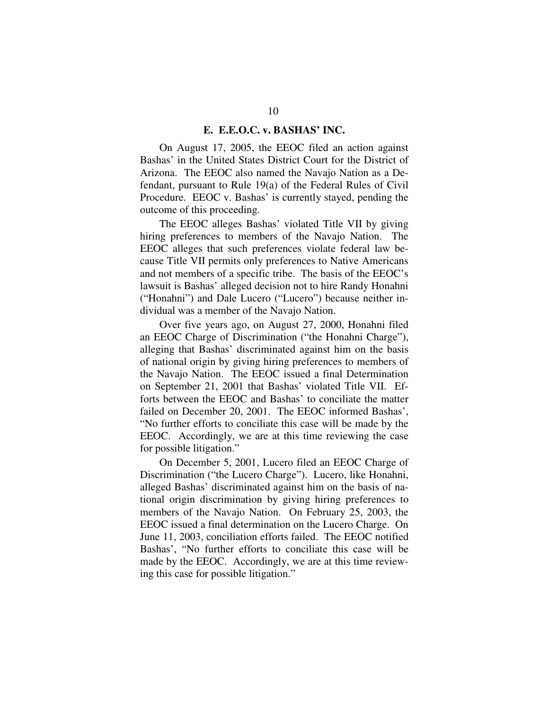#### **E. E.E.O.C. v. BASHAS' INC.**

On August 17, 2005, the EEOC filed an action against Bashas' in the United States District Court for the District of Arizona. The EEOC also named the Navajo Nation as a Defendant, pursuant to Rule 19(a) of the Federal Rules of Civil Procedure. EEOC v. Bashas' is currently stayed, pending the outcome of this proceeding.

The EEOC alleges Bashas' violated Title VII by giving hiring preferences to members of the Navajo Nation. The EEOC alleges that such preferences violate federal law because Title VII permits only preferences to Native Americans and not members of a specific tribe. The basis of the EEOC's lawsuit is Bashas' alleged decision not to hire Randy Honahni ("Honahni") and Dale Lucero ("Lucero") because neither individual was a member of the Navajo Nation.

Over five years ago, on August 27, 2000, Honahni filed an EEOC Charge of Discrimination ("the Honahni Charge"), alleging that Bashas' discriminated against him on the basis of national origin by giving hiring preferences to members of the Navajo Nation. The EEOC issued a final Determination on September 21, 2001 that Bashas' violated Title VII. Efforts between the EEOC and Bashas' to conciliate the matter failed on December 20, 2001. The EEOC informed Bashas', "No further efforts to conciliate this case will be made by the EEOC. Accordingly, we are at this time reviewing the case for possible litigation."

On December 5, 2001, Lucero filed an EEOC Charge of Discrimination ("the Lucero Charge"). Lucero, like Honahni, alleged Bashas' discriminated against him on the basis of national origin discrimination by giving hiring preferences to members of the Navajo Nation. On February 25, 2003, the EEOC issued a final determination on the Lucero Charge. On June 11, 2003, conciliation efforts failed. The EEOC notified Bashas', "No further efforts to conciliate this case will be made by the EEOC. Accordingly, we are at this time reviewing this case for possible litigation."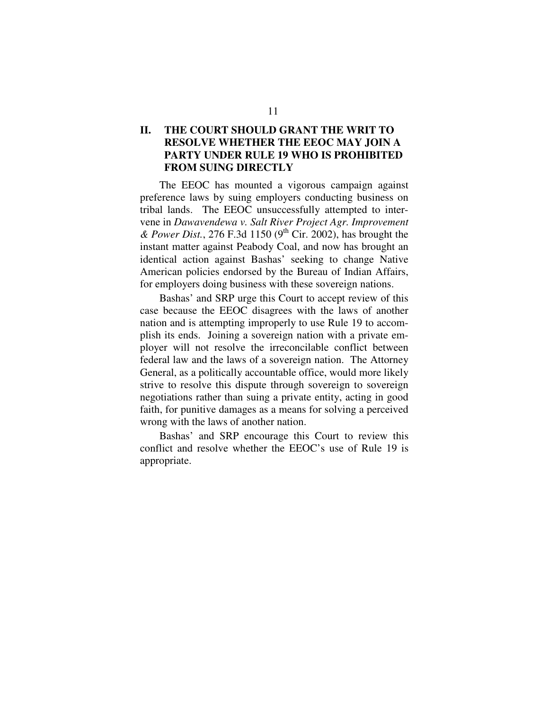## **II. THE COURT SHOULD GRANT THE WRIT TO RESOLVE WHETHER THE EEOC MAY JOIN A PARTY UNDER RULE 19 WHO IS PROHIBITED FROM SUING DIRECTLY**

The EEOC has mounted a vigorous campaign against preference laws by suing employers conducting business on tribal lands. The EEOC unsuccessfully attempted to intervene in *Dawavendewa v. Salt River Project Agr. Improvement & Power Dist.*, 276 F.3d 1150 (9 th Cir. 2002), has brought the instant matter against Peabody Coal, and now has brought an identical action against Bashas' seeking to change Native American policies endorsed by the Bureau of Indian Affairs, for employers doing business with these sovereign nations.

Bashas' and SRP urge this Court to accept review of this case because the EEOC disagrees with the laws of another nation and is attempting improperly to use Rule 19 to accomplish its ends. Joining a sovereign nation with a private employer will not resolve the irreconcilable conflict between federal law and the laws of a sovereign nation. The Attorney General, as a politically accountable office, would more likely strive to resolve this dispute through sovereign to sovereign negotiations rather than suing a private entity, acting in good faith, for punitive damages as a means for solving a perceived wrong with the laws of another nation.

Bashas' and SRP encourage this Court to review this conflict and resolve whether the EEOC's use of Rule 19 is appropriate.